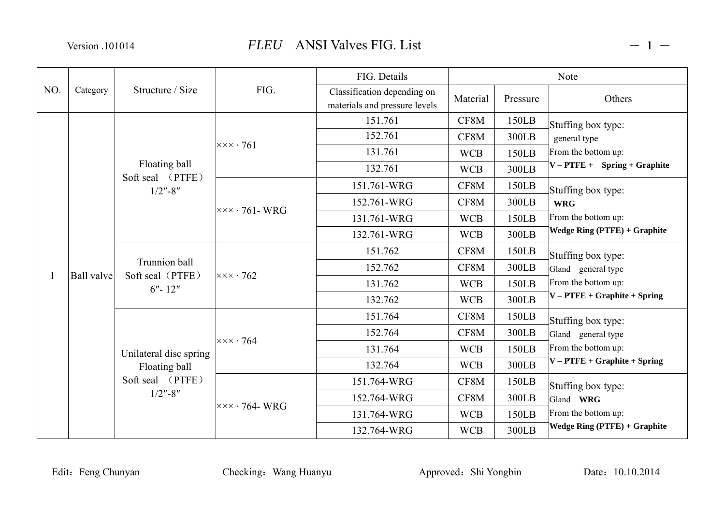|              |                   | Structure / Size                                                          | FIG.                                       | FIG. Details                                                 |            | <b>Note</b> |                                                            |  |
|--------------|-------------------|---------------------------------------------------------------------------|--------------------------------------------|--------------------------------------------------------------|------------|-------------|------------------------------------------------------------|--|
| NO.          | Category          |                                                                           |                                            | Classification depending on<br>materials and pressure levels | Material   | Pressure    | Others                                                     |  |
|              |                   | Floating ball<br>Soft seal (PTFE)<br>$1/2$ "-8"                           | $\times\times\times\cdot761$               | 151.761                                                      | CF8M       | 150LB       | Stuffing box type:                                         |  |
|              |                   |                                                                           |                                            | 152.761                                                      | CF8M       | 300LB       | general type                                               |  |
|              |                   |                                                                           |                                            | 131.761                                                      | <b>WCB</b> | 150LB       | From the bottom up:<br>$V - PTFE +$ Spring + Graphite      |  |
|              |                   |                                                                           |                                            | 132.761                                                      | <b>WCB</b> | 300LB       |                                                            |  |
|              | <b>Ball</b> valve |                                                                           | $\vert x \times x \cdot 761$ - WRG         | 151.761-WRG                                                  | CF8M       | 150LB       | Stuffing box type:                                         |  |
|              |                   |                                                                           |                                            | 152.761-WRG                                                  | CF8M       | 300LB       | <b>WRG</b>                                                 |  |
|              |                   |                                                                           |                                            | 131.761-WRG                                                  | <b>WCB</b> | 150LB       | From the bottom up:<br><b>Wedge Ring (PTFE) + Graphite</b> |  |
|              |                   |                                                                           |                                            | 132.761-WRG                                                  | <b>WCB</b> | 300LB       |                                                            |  |
|              |                   | Trunnion ball<br>Soft seal (PTFE)<br>$6'' - 12''$                         | $x \times x \cdot 762$                     | 151.762                                                      | CF8M       | 150LB       | Stuffing box type:                                         |  |
|              |                   |                                                                           |                                            | 152.762                                                      | CF8M       | 300LB       | Gland general type                                         |  |
| $\mathbf{1}$ |                   |                                                                           |                                            | 131.762                                                      | <b>WCB</b> | 150LB       | From the bottom up:                                        |  |
|              |                   |                                                                           |                                            | 132.762                                                      | <b>WCB</b> | 300LB       | $V - P \text{TFE} + \text{Graphite} + \text{Spring}$       |  |
|              |                   | Unilateral disc spring<br>Floating ball<br>Soft seal (PTFE)<br>$1/2$ "-8" | $x \times \times \cdot 764$                | 151.764                                                      | CF8M       | 150LB       | Stuffing box type:                                         |  |
|              |                   |                                                                           |                                            | 152.764                                                      | CF8M       | 300LB       | Gland general type                                         |  |
|              |                   |                                                                           |                                            | 131.764                                                      | <b>WCB</b> | 150LB       | From the bottom up:                                        |  |
|              |                   |                                                                           |                                            | 132.764                                                      | <b>WCB</b> | 300LB       | $V - P \text{TFE} + \text{Graphite} + \text{Spring}$       |  |
|              |                   |                                                                           | $\overline{\times} \times \cdot 764$ - WRG | 151.764-WRG                                                  | CF8M       | 150LB       | Stuffing box type:                                         |  |
|              |                   |                                                                           |                                            | 152.764-WRG                                                  | CF8M       | 300LB       | Gland WRG                                                  |  |
|              |                   |                                                                           |                                            | 131.764-WRG                                                  | <b>WCB</b> | 150LB       | From the bottom up:                                        |  |
|              |                   |                                                                           |                                            | 132.764-WRG                                                  | <b>WCB</b> | 300LB       | <b>Wedge Ring (PTFE) + Graphite</b>                        |  |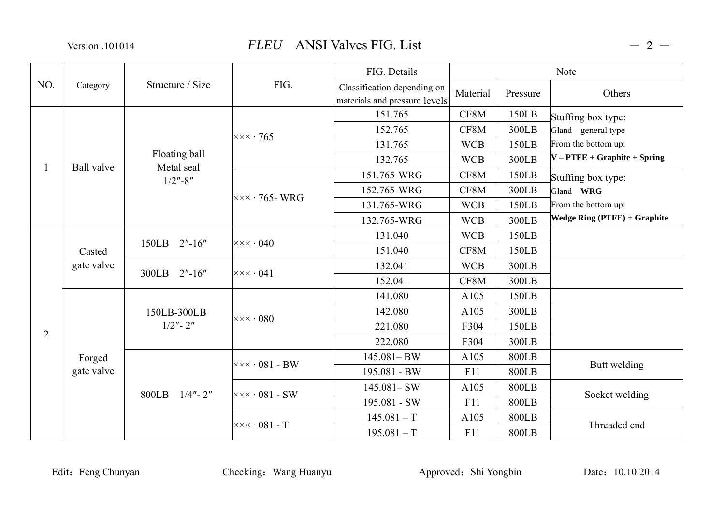|                | Category             | Structure / Size            | FIG.                                       | FIG. Details                                                 | Note       |              |                                                      |
|----------------|----------------------|-----------------------------|--------------------------------------------|--------------------------------------------------------------|------------|--------------|------------------------------------------------------|
| NO.            |                      |                             |                                            | Classification depending on<br>materials and pressure levels | Material   | Pressure     | Others                                               |
|                | <b>Ball</b> valve    |                             | $\times\times\times\cdot765$               | 151.765                                                      | CF8M       | 150LB        | Stuffing box type:                                   |
|                |                      |                             |                                            | 152.765                                                      | CF8M       | 300LB        | Gland general type                                   |
|                |                      |                             |                                            | 131.765                                                      | <b>WCB</b> | 150LB        | From the bottom up:                                  |
| -1             |                      | Floating ball<br>Metal seal |                                            | 132.765                                                      | <b>WCB</b> | 300LB        | $V - P \text{TFE} + \text{Graphite} + \text{Spring}$ |
|                |                      | $1/2$ "-8"                  | $\overline{\times} \times \cdot 765$ - WRG | 151.765-WRG                                                  | CF8M       | 150LB        | Stuffing box type:                                   |
|                |                      |                             |                                            | 152.765-WRG                                                  | CF8M       | 300LB        | Gland WRG                                            |
|                |                      |                             |                                            | 131.765-WRG                                                  | <b>WCB</b> | 150LB        | From the bottom up:                                  |
|                |                      |                             |                                            | 132.765-WRG                                                  | <b>WCB</b> | 300LB        | <b>Wedge Ring (PTFE) + Graphite</b>                  |
|                | Casted<br>gate valve | 150LB 2"-16"                | $\times\times\times\cdot040$               | 131.040                                                      | <b>WCB</b> | 150LB        |                                                      |
|                |                      |                             |                                            | 151.040                                                      | CF8M       | 150LB        |                                                      |
|                |                      | 300LB 2"-16"                | $\times\times\times\cdot$ 041              | 132.041                                                      | <b>WCB</b> | 300LB        |                                                      |
|                |                      |                             |                                            | 152.041                                                      | CF8M       | 300LB        |                                                      |
|                |                      | 150LB-300LB<br>$1/2"$ - 2"  | $\times\times\times\cdot080$               | 141.080                                                      | A105       | 150LB        |                                                      |
|                |                      |                             |                                            | 142.080                                                      | A105       | 300LB        |                                                      |
| $\overline{2}$ |                      |                             |                                            | 221.080                                                      | F304       | 150LB        |                                                      |
|                |                      |                             |                                            | 222.080                                                      | F304       | 300LB        |                                                      |
|                | Forged               | 800LB $1/4"$ - 2"           | $\times\times\times\cdot$ 081 - BW         | $145.081 - BW$                                               | A105       | 800LB        | Butt welding                                         |
|                | gate valve           |                             |                                            | 195.081 - BW                                                 | F11        | <b>800LB</b> |                                                      |
|                |                      |                             | $\times\times\times\cdot$ 081 - SW         | $145.081 - SW$                                               | A105       | <b>800LB</b> | Socket welding                                       |
|                |                      |                             |                                            | 195.081 - SW                                                 | F11        | <b>800LB</b> |                                                      |
|                |                      |                             | $\times\times\times\cdot$ 081 - T          | $145.081 - T$                                                | A105       | 800LB        | Threaded end                                         |
|                |                      |                             |                                            | $195.081 - T$                                                | F11        | <b>800LB</b> |                                                      |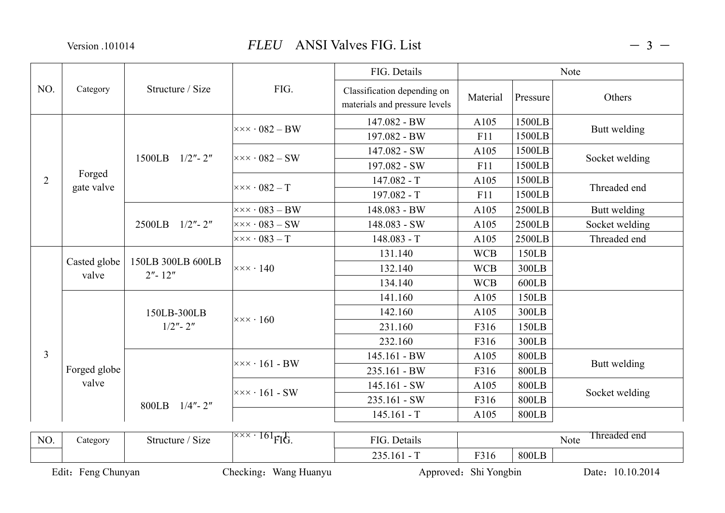|                | Category              | Structure / Size                | FIG.                                                    | FIG. Details                                                 | Note       |              |                |
|----------------|-----------------------|---------------------------------|---------------------------------------------------------|--------------------------------------------------------------|------------|--------------|----------------|
| NO.            |                       |                                 |                                                         | Classification depending on<br>materials and pressure levels | Material   | Pressure     | Others         |
|                |                       |                                 | $\times\times\times\cdot$ 082 – BW                      | 147.082 - BW                                                 | A105       | 1500LB       |                |
|                |                       |                                 |                                                         | 197.082 - BW                                                 | F11        | 1500LB       | Butt welding   |
|                |                       | $1500LB$ $1/2" - 2"$            |                                                         | 147.082 - SW                                                 | A105       | 1500LB       | Socket welding |
|                |                       |                                 | $\times\times\times\cdot$ 082 – SW                      | 197.082 - SW                                                 | F11        | 1500LB       |                |
| $\overline{2}$ | Forged<br>gate valve  |                                 | $\times\times\times\cdot$ 082 – T                       | $147.082 - T$                                                | A105       | 1500LB       |                |
|                |                       |                                 |                                                         | $197.082 - T$                                                | F11        | 1500LB       | Threaded end   |
|                |                       | 2500LB<br>$1/2$ " - 2"          | $\times\times\times\cdot$ 083 – BW                      | 148.083 - BW                                                 | A105       | 2500LB       | Butt welding   |
|                |                       |                                 | $\times\times\times\cdot$ 083 – SW                      | 148.083 - SW                                                 | A105       | 2500LB       | Socket welding |
|                |                       |                                 | $\times\times\times\cdot$ 083 – T                       | $148.083 - T$                                                | A105       | 2500LB       | Threaded end   |
|                | Casted globe<br>valve | 150LB 300LB 600LB<br>$2" - 12"$ | $\times\times\times\cdot$ 140                           | 131.140                                                      | <b>WCB</b> | 150LB        |                |
|                |                       |                                 |                                                         | 132.140                                                      | <b>WCB</b> | 300LB        |                |
|                |                       |                                 |                                                         | 134.140                                                      | <b>WCB</b> | 600LB        |                |
|                | Forged globe<br>valve | 150LB-300LB<br>$1/2" - 2"$      | $\times\times\times\cdot160$                            | 141.160                                                      | A105       | 150LB        |                |
|                |                       |                                 |                                                         | 142.160                                                      | A105       | 300LB        |                |
|                |                       |                                 |                                                         | 231.160                                                      | F316       | 150LB        |                |
|                |                       |                                 |                                                         | 232.160                                                      | F316       | 300LB        |                |
| $\overline{3}$ |                       |                                 | $\times\times\times\cdot 161$ - BW                      | 145.161 - BW                                                 | A105       | 800LB        |                |
|                |                       |                                 |                                                         | 235.161 - BW                                                 | F316       | <b>800LB</b> | Butt welding   |
|                |                       | 800LB 1/4"-2"                   | $\times\times\times\cdot 161$ - SW                      | $145.161 - SW$                                               | A105       | <b>800LB</b> | Socket welding |
|                |                       |                                 |                                                         | 235.161 - SW                                                 | F316       | 800LB        |                |
|                |                       |                                 |                                                         | $145.161 - T$                                                | A105       | <b>800LB</b> |                |
|                |                       |                                 |                                                         |                                                              |            |              | Threaded end   |
| NO.            | Category              | Structure / Size                | $\overline{X} \times \overline{Y}$ 161 <sub>FIG</sub> . | FIG. Details                                                 |            |              | Note           |
|                |                       |                                 |                                                         | $235.161 - T$                                                | F316       | <b>800LB</b> |                |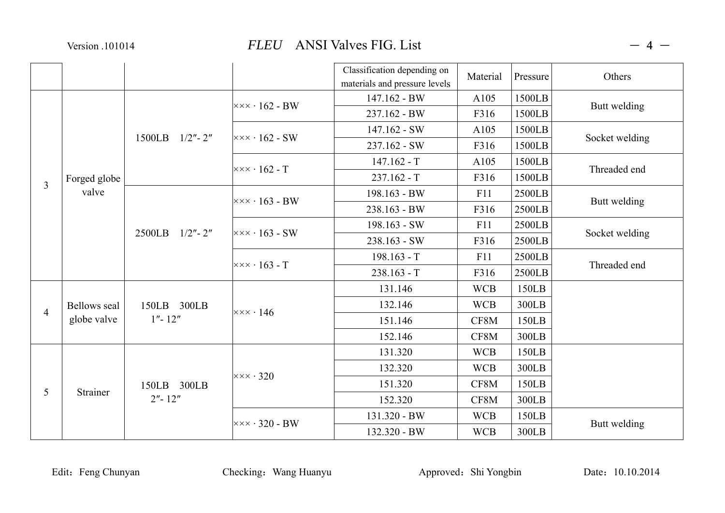|                |                                    |                                                                                                    |                                               | Classification depending on<br>materials and pressure levels | Material   | Pressure | Others         |
|----------------|------------------------------------|----------------------------------------------------------------------------------------------------|-----------------------------------------------|--------------------------------------------------------------|------------|----------|----------------|
|                | Forged globe                       | 1500LB $1/2"$ - 2"                                                                                 | $\overline{\times}\times\times\cdot 162$ - BW | 147.162 - BW                                                 | A105       | 1500LB   |                |
|                |                                    |                                                                                                    |                                               | 237.162 - BW                                                 | F316       | 1500LB   | Butt welding   |
|                |                                    |                                                                                                    | $\times\times\times\cdot 162$ - SW            | 147.162 - SW                                                 | A105       | 1500LB   | Socket welding |
|                |                                    |                                                                                                    |                                               | 237.162 - SW                                                 | F316       | 1500LB   |                |
|                |                                    |                                                                                                    | $\times\times\times\cdot 162$ - T             | $147.162 - T$                                                | A105       | 1500LB   | Threaded end   |
| $\overline{3}$ |                                    |                                                                                                    |                                               | $237.162 - T$                                                | F316       | 1500LB   |                |
|                | valve                              |                                                                                                    | $\vert \times \times \times \cdot 163$ - BW   | 198.163 - BW                                                 | F11        | 2500LB   |                |
|                |                                    | 2500LB 1/2"-2"                                                                                     |                                               | 238.163 - BW                                                 | F316       | 2500LB   | Butt welding   |
|                |                                    |                                                                                                    | $\vert x \times x \cdot 163 - SW \vert$       | 198.163 - SW                                                 | F11        | 2500LB   | Socket welding |
|                |                                    |                                                                                                    |                                               | 238.163 - SW                                                 | F316       | 2500LB   |                |
|                |                                    |                                                                                                    | $\times\times\times\cdot 163$ - T             | $198.163 - T$                                                | F11        | 2500LB   | Threaded end   |
|                |                                    |                                                                                                    |                                               | $238.163 - T$                                                | F316       | 2500LB   |                |
|                | <b>Bellows</b> seal<br>globe valve | 150LB 300LB<br>$1'' - 12''$                                                                        | $\times\times\times\cdot$ 146                 | 131.146                                                      | <b>WCB</b> | 150LB    |                |
| $\overline{4}$ |                                    |                                                                                                    |                                               | 132.146                                                      | <b>WCB</b> | 300LB    |                |
|                |                                    |                                                                                                    |                                               | 151.146                                                      | CF8M       | 150LB    |                |
|                |                                    |                                                                                                    |                                               | 152.146                                                      | CF8M       | 300LB    |                |
|                | Strainer                           | $\times\times\times\cdot$ 320<br>150LB 300LB<br>$2'' - 12''$<br>$\times\times\times\cdot$ 320 - BW |                                               | 131.320                                                      | <b>WCB</b> | 150LB    |                |
| 5              |                                    |                                                                                                    |                                               | 132.320                                                      | <b>WCB</b> | 300LB    |                |
|                |                                    |                                                                                                    |                                               | 151.320                                                      | CF8M       | 150LB    |                |
|                |                                    |                                                                                                    |                                               | 152.320                                                      | CF8M       | 300LB    |                |
|                |                                    |                                                                                                    |                                               | 131.320 - BW                                                 | <b>WCB</b> | 150LB    | Butt welding   |
|                |                                    |                                                                                                    | 132.320 - BW                                  | <b>WCB</b>                                                   | 300LB      |          |                |